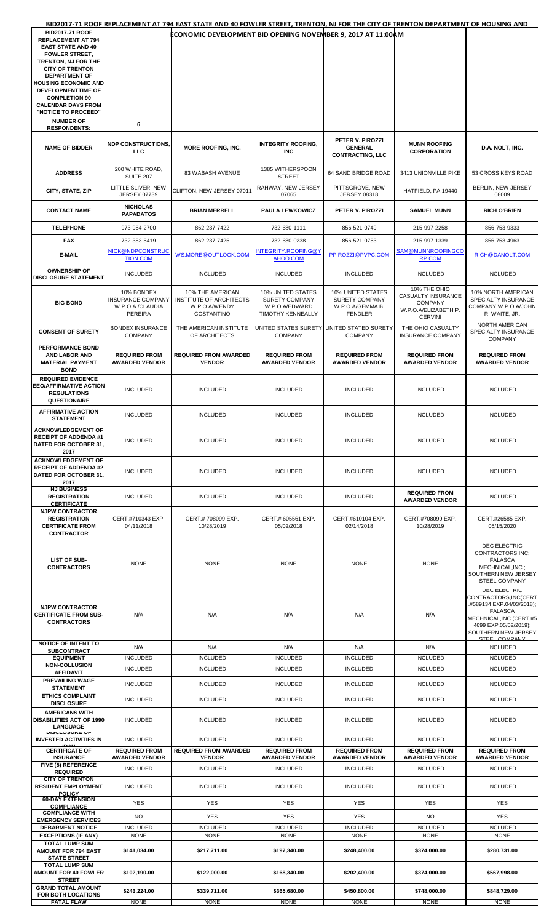| <b>BID2017-71 ROOF</b>                                           |                                        | BID2017-71 ROOF REPLACEMENT AT 794 EAST STATE AND 40 FOWLER STREET, TRENTON, NJ FOR THE CITY OF TRENTON DEPARTMENT OF HOUSING AND |                                            |                                            |                                        |                                            |
|------------------------------------------------------------------|----------------------------------------|-----------------------------------------------------------------------------------------------------------------------------------|--------------------------------------------|--------------------------------------------|----------------------------------------|--------------------------------------------|
| <b>REPLACEMENT AT 794</b>                                        |                                        | ECONOMIC DEVELOPMENT BID OPENING NOVEMBER 9, 2017 AT 11:00AM                                                                      |                                            |                                            |                                        |                                            |
| <b>EAST STATE AND 40</b>                                         |                                        |                                                                                                                                   |                                            |                                            |                                        |                                            |
| <b>FOWLER STREET,</b><br>TRENTON, NJ FOR THE                     |                                        |                                                                                                                                   |                                            |                                            |                                        |                                            |
| <b>CITY OF TRENTON</b>                                           |                                        |                                                                                                                                   |                                            |                                            |                                        |                                            |
| <b>DEPARTMENT OF</b><br><b>HOUSING ECONOMIC AND</b>              |                                        |                                                                                                                                   |                                            |                                            |                                        |                                            |
| DEVELOPMENTTIME OF                                               |                                        |                                                                                                                                   |                                            |                                            |                                        |                                            |
| <b>COMPLETION 90</b><br><b>CALENDAR DAYS FROM</b>                |                                        |                                                                                                                                   |                                            |                                            |                                        |                                            |
| "NOTICE TO PROCEED"                                              |                                        |                                                                                                                                   |                                            |                                            |                                        |                                            |
| <b>NUMBER OF</b><br><b>RESPONDENTS:</b>                          | 6                                      |                                                                                                                                   |                                            |                                            |                                        |                                            |
|                                                                  |                                        |                                                                                                                                   |                                            |                                            |                                        |                                            |
| <b>NAME OF BIDDER</b>                                            | <b>NDP CONSTRUCTIONS,</b>              | <b>MORE ROOFING, INC.</b>                                                                                                         | <b>INTEGRITY ROOFING,</b>                  | PETER V. PIROZZI<br><b>GENERAL</b>         | <b>MUNN ROOFING</b>                    | D.A. NOLT, INC.                            |
|                                                                  | LLC.                                   |                                                                                                                                   | <b>INC</b>                                 | <b>CONTRACTING, LLC</b>                    | <b>CORPORATION</b>                     |                                            |
|                                                                  | 200 WHITE ROAD,                        |                                                                                                                                   | 1385 WITHERSPOON                           |                                            |                                        |                                            |
| <b>ADDRESS</b>                                                   | <b>SUITE 207</b>                       | 83 WABASH AVENUE                                                                                                                  | <b>STREET</b>                              | 64 SAND BRIDGE ROAD                        | 3413 UNIONVILLE PIKE                   | 53 CROSS KEYS ROAD                         |
| CITY, STATE, ZIP                                                 | LITTLE SLIVER, NEW                     | CLIFTON, NEW JERSEY 07011                                                                                                         | RAHWAY, NEW JERSEY                         | PITTSGROVE, NEW                            | HATFIELD, PA 19440                     | BERLIN, NEW JERSEY                         |
|                                                                  | <b>JERSEY 07739</b>                    |                                                                                                                                   | 07065                                      | <b>JERSEY 08318</b>                        |                                        | 08009                                      |
| <b>CONTACT NAME</b>                                              | <b>NICHOLAS</b><br><b>PAPADATOS</b>    | <b>BRIAN MERRELL</b>                                                                                                              | <b>PAULA LEWKOWICZ</b>                     | PETER V. PIROZZI                           | <b>SAMUEL MUNN</b>                     | <b>RICH O'BRIEN</b>                        |
|                                                                  |                                        |                                                                                                                                   |                                            |                                            |                                        |                                            |
| <b>TELEPHONE</b>                                                 | 973-954-2700                           | 862-237-7422                                                                                                                      | 732-680-1111                               | 856-521-0749                               | 215-997-2258                           | 856-753-9333                               |
| <b>FAX</b>                                                       | 732-383-5419                           | 862-237-7425                                                                                                                      | 732-680-0238                               | 856-521-0753                               | 215-997-1339                           | 856-753-4963                               |
| E-MAIL                                                           | NICK@NDPCONSTRUC<br><b>TION.COM</b>    | WS.MORE@OUTLOOK.COM                                                                                                               | INTEGRITY.ROOFING@Y<br>AHOO.COM            | PPIROZZI@PVPC.COM                          | SAM@MUNNROOFINGCO<br><b>RP.COM</b>     | RICH@DANOLT.COM                            |
|                                                                  |                                        |                                                                                                                                   |                                            |                                            |                                        |                                            |
| <b>OWNERSHIP OF</b><br><b>DISCLOSURE STATEMENT</b>               | <b>INCLUDED</b>                        | <b>INCLUDED</b>                                                                                                                   | <b>INCLUDED</b>                            | <b>INCLUDED</b>                            | <b>INCLUDED</b>                        | <b>INCLUDED</b>                            |
|                                                                  |                                        |                                                                                                                                   |                                            |                                            | 10% THE OHIO                           |                                            |
|                                                                  | 10% BONDEX<br><b>INSURANCE COMPANY</b> | 10% THE AMERICAN<br>INSTITUTE OF ARCHITECTS                                                                                       | 10% UNITED STATES<br><b>SURETY COMPANY</b> | 10% UNITED STATES<br><b>SURETY COMPANY</b> | CASUALTY INSURANCE                     | 10% NORTH AMERICAN<br>SPECIALTY INSURANCE  |
| <b>BIG BOND</b>                                                  | W.P.O.A./CLAUDIA                       | W.P.O.A/WENDY                                                                                                                     | W.P.O.A/EDWARD                             | W.P.O.A/GEMMA B.                           | <b>COMPANY</b><br>W.P.O.A/ELIZABETH P. | COMPANY W.P.O.A/JOHN                       |
|                                                                  | <b>PEREIRA</b>                         | <b>COSTANTINO</b>                                                                                                                 | <b>TIMOTHY KENNEALLY</b>                   | <b>FENDLER</b>                             | <b>CERVINI</b>                         | R. WAITE, JR.                              |
| <b>CONSENT OF SURETY</b>                                         | <b>BONDEX INSURANCE</b>                | THE AMERICAN INSTITUTE                                                                                                            | UNITED STATES SURETY                       | UNITED STATED SURETY                       | THE OHIO CASUALTY                      | NORTH AMERICAN<br>SPECIALTY INSURANCE      |
|                                                                  | <b>COMPANY</b>                         | OF ARCHITECTS                                                                                                                     | <b>COMPANY</b>                             | <b>COMPANY</b>                             | <b>INSURANCE COMPANY</b>               | <b>COMPANY</b>                             |
| PERFORMANCE BOND<br><b>AND LABOR AND</b>                         | <b>REQUIRED FROM</b>                   | <b>REQUIRED FROM AWARDED</b>                                                                                                      | <b>REQUIRED FROM</b>                       | <b>REQUIRED FROM</b>                       | <b>REQUIRED FROM</b>                   | <b>REQUIRED FROM</b>                       |
| <b>MATERIAL PAYMENT</b>                                          | <b>AWARDED VENDOR</b>                  | <b>VENDOR</b>                                                                                                                     | <b>AWARDED VENDOR</b>                      | <b>AWARDED VENDOR</b>                      | <b>AWARDED VENDOR</b>                  | <b>AWARDED VENDOR</b>                      |
| <b>BOND</b>                                                      |                                        |                                                                                                                                   |                                            |                                            |                                        |                                            |
| <b>REQUIRED EVIDENCE</b><br><b>EEO/AFFIRMATIVE ACTION</b>        |                                        |                                                                                                                                   |                                            |                                            |                                        |                                            |
| <b>REGULATIONS</b>                                               | <b>INCLUDED</b>                        | <b>INCLUDED</b>                                                                                                                   | <b>INCLUDED</b>                            | <b>INCLUDED</b>                            | <b>INCLUDED</b>                        | <b>INCLUDED</b>                            |
| <b>QUESTIONAIRE</b>                                              |                                        |                                                                                                                                   |                                            |                                            |                                        |                                            |
| <b>AFFIRMATIVE ACTION</b><br><b>STATEMENT</b>                    | <b>INCLUDED</b>                        | <b>INCLUDED</b>                                                                                                                   | <b>INCLUDED</b>                            | <b>INCLUDED</b>                            | <b>INCLUDED</b>                        | <b>INCLUDED</b>                            |
|                                                                  |                                        |                                                                                                                                   |                                            |                                            |                                        |                                            |
| <b>ACKNOWLEDGEMENT OF</b><br><b>RECEIPT OF ADDENDA#1</b>         |                                        |                                                                                                                                   |                                            |                                            |                                        |                                            |
| DATED FOR OCTOBER 31,                                            | <b>INCLUDED</b>                        | <b>INCLUDED</b>                                                                                                                   | <b>INCLUDED</b>                            | <b>INCLUDED</b>                            | <b>INCLUDED</b>                        | <b>INCLUDED</b>                            |
| 2017<br><b>ACKNOWLEDGEMENT OF</b>                                |                                        |                                                                                                                                   |                                            |                                            |                                        |                                            |
| <b>RECEIPT OF ADDENDA#2</b>                                      | <b>INCLUDED</b>                        | <b>INCLUDED</b>                                                                                                                   | <b>INCLUDED</b>                            | <b>INCLUDED</b>                            | <b>INCLUDED</b>                        | <b>INCLUDED</b>                            |
| <b>DATED FOR OCTOBER 31.</b><br>2017                             |                                        |                                                                                                                                   |                                            |                                            |                                        |                                            |
| <b>NJ BUSINESS</b>                                               |                                        |                                                                                                                                   |                                            |                                            | <b>REQUIRED FROM</b>                   |                                            |
| <b>REGISTRATION</b>                                              | <b>INCLUDED</b>                        | <b>INCLUDED</b>                                                                                                                   | <b>INCLUDED</b>                            | <b>INCLUDED</b>                            | <b>AWARDED VENDOR</b>                  | <b>INCLUDED</b>                            |
| <b>CERTIFICATE</b><br><b>NJPW CONTRACTOR</b>                     |                                        |                                                                                                                                   |                                            |                                            |                                        |                                            |
| <b>REGISTRATION</b>                                              | CERT.#710343 EXP.                      | CERT.# 708099 EXP.                                                                                                                | CERT.# 605561 EXP.                         | CERT.#610104 EXP.                          | CERT.#708099 EXP.                      | CERT.#26585 EXP.                           |
| <b>CERTIFICATE FROM</b><br><b>CONTRACTOR</b>                     | 04/11/2018                             | 10/28/2019                                                                                                                        | 05/02/2018                                 | 02/14/2018                                 | 10/28/2019                             | 05/15/2020                                 |
|                                                                  |                                        |                                                                                                                                   |                                            |                                            |                                        | DEC ELECTRIC                               |
|                                                                  |                                        |                                                                                                                                   |                                            |                                            |                                        | CONTRACTORS, INC:                          |
| <b>LIST OF SUB-</b>                                              | <b>NONE</b>                            | <b>NONE</b>                                                                                                                       | <b>NONE</b>                                | <b>NONE</b>                                | <b>NONE</b>                            | <b>FALASCA</b>                             |
| <b>CONTRACTORS</b>                                               |                                        |                                                                                                                                   |                                            |                                            |                                        | MECHNICAL, INC.;<br>SOUTHERN NEW JERSEY    |
|                                                                  |                                        |                                                                                                                                   |                                            |                                            |                                        | <b>STEEL COMPANY</b>                       |
|                                                                  |                                        |                                                                                                                                   |                                            |                                            |                                        | DEC ELECTRIC<br>CONTRACTORS, INC(CERT      |
| <b>NJPW CONTRACTOR</b>                                           |                                        |                                                                                                                                   |                                            |                                            |                                        | .#589134 EXP.04/03/2018);                  |
| <b>CERTIFICATE FROM SUB-</b>                                     | N/A                                    | N/A                                                                                                                               | N/A                                        | N/A                                        | N/A                                    | <b>FALASCA</b><br>MECHNICAL, INC. (CERT.#5 |
| <b>CONTRACTORS</b>                                               |                                        |                                                                                                                                   |                                            |                                            |                                        | 4699 EXP.05/02/2019);                      |
|                                                                  |                                        |                                                                                                                                   |                                            |                                            |                                        | SOUTHERN NEW JERSEY<br>STEEL COMPANY       |
| <b>NOTICE OF INTENT TO</b><br><b>SUBCONTRACT</b>                 | N/A                                    | N/A                                                                                                                               | N/A                                        | N/A                                        | N/A                                    | <b>INCLUDED</b>                            |
| <b>EQUIPMENT</b>                                                 | <b>INCLUDED</b>                        | <b>INCLUDED</b>                                                                                                                   | <b>INCLUDED</b>                            | <b>INCLUDED</b>                            | <b>INCLUDED</b>                        | <b>INCLUDED</b>                            |
| <b>NON-COLLUSION</b><br><b>AFFIDAVIT</b>                         | <b>INCLUDED</b>                        | <b>INCLUDED</b>                                                                                                                   | <b>INCLUDED</b>                            | <b>INCLUDED</b>                            | <b>INCLUDED</b>                        | <b>INCLUDED</b>                            |
| <b>PREVAILING WAGE</b>                                           | <b>INCLUDED</b>                        | <b>INCLUDED</b>                                                                                                                   | <b>INCLUDED</b>                            | <b>INCLUDED</b>                            | <b>INCLUDED</b>                        | <b>INCLUDED</b>                            |
| <b>STATEMENT</b><br><b>ETHICS COMPLAINT</b>                      |                                        |                                                                                                                                   |                                            |                                            |                                        |                                            |
| <b>DISCLOSURE</b>                                                | <b>INCLUDED</b>                        | <b>INCLUDED</b>                                                                                                                   | <b>INCLUDED</b>                            | <b>INCLUDED</b>                            | <b>INCLUDED</b>                        | <b>INCLUDED</b>                            |
| <b>AMERICANS WITH</b>                                            |                                        |                                                                                                                                   |                                            |                                            |                                        |                                            |
| <b>DISABILITIES ACT OF 1990</b><br>LANGUAGE                      | <b>INCLUDED</b>                        | <b>INCLUDED</b>                                                                                                                   | <b>INCLUDED</b>                            | <b>INCLUDED</b>                            | <b>INCLUDED</b>                        | <b>INCLUDED</b>                            |
| <del>DISCEOSURE O</del> F<br><b>INVESTED ACTIVITIES IN</b>       | <b>INCLUDED</b>                        | <b>INCLUDED</b>                                                                                                                   | <b>INCLUDED</b>                            | <b>INCLUDED</b>                            | <b>INCLUDED</b>                        | <b>INCLUDED</b>                            |
| <b>CERTIFICATE OF</b>                                            | <b>REQUIRED FROM</b>                   | <b>REQUIRED FROM AWARDED</b>                                                                                                      | <b>REQUIRED FROM</b>                       | <b>REQUIRED FROM</b>                       | <b>REQUIRED FROM</b>                   | <b>REQUIRED FROM</b>                       |
| <b>INSURANCE</b>                                                 | <b>AWARDED VENDOR</b>                  | <b>VENDOR</b>                                                                                                                     | <b>AWARDED VENDOR</b>                      | <b>AWARDED VENDOR</b>                      | <b>AWARDED VENDOR</b>                  | <b>AWARDED VENDOR</b>                      |
| FIVE (5) REFERENCE<br><b>REQUIRED</b>                            | <b>INCLUDED</b>                        | <b>INCLUDED</b>                                                                                                                   | <b>INCLUDED</b>                            | <b>INCLUDED</b>                            | <b>INCLUDED</b>                        | <b>INCLUDED</b>                            |
| <b>CITY OF TRENTON</b>                                           |                                        |                                                                                                                                   |                                            |                                            |                                        |                                            |
| <b>RESIDENT EMPLOYMENT</b><br><b>POLICY</b>                      | <b>INCLUDED</b>                        | <b>INCLUDED</b>                                                                                                                   | <b>INCLUDED</b>                            | <b>INCLUDED</b>                            | <b>INCLUDED</b>                        | <b>INCLUDED</b>                            |
| <b>60-DAY EXTENSION</b>                                          | <b>YES</b>                             | <b>YES</b>                                                                                                                        | <b>YES</b>                                 | <b>YES</b>                                 | <b>YES</b>                             | <b>YES</b>                                 |
| <b>COMPLIANCE</b><br><b>COMPLIANCE WITH</b>                      |                                        |                                                                                                                                   |                                            |                                            |                                        |                                            |
| <b>EMERGENCY SERVICES</b>                                        | <b>NO</b>                              | <b>YES</b><br><b>INCLUDED</b>                                                                                                     | <b>YES</b>                                 | <b>YES</b>                                 | <b>NO</b>                              | <b>YES</b>                                 |
|                                                                  |                                        |                                                                                                                                   | <b>INCLUDED</b>                            | <b>INCLUDED</b>                            | <b>INCLUDED</b>                        | <b>INCLUDED</b>                            |
| <b>DEBARMENT NOTICE</b>                                          | <b>INCLUDED</b>                        |                                                                                                                                   |                                            |                                            |                                        |                                            |
| <b>EXCEPTIONS (IF ANY)</b><br><b>TOTAL LUMP SUM</b>              | <b>NONE</b>                            | <b>NONE</b>                                                                                                                       | <b>NONE</b>                                | <b>NONE</b>                                | <b>NONE</b>                            | <b>NONE</b>                                |
| <b>AMOUNT FOR 794 EAST</b>                                       | \$141,034.00                           | \$217,711.00                                                                                                                      | \$197,340.00                               | \$248,400.00                               | \$374,000.00                           | \$280,731.00                               |
| <b>STATE STREET</b><br><b>TOTAL LUMP SUM</b>                     |                                        |                                                                                                                                   |                                            |                                            |                                        |                                            |
| <b>AMOUNT FOR 40 FOWLER</b>                                      | \$102,190.00                           | \$122,000.00                                                                                                                      | \$168,340.00                               | \$202,400.00                               | \$374,000.00                           | \$567,998.00                               |
| <b>STREET</b><br><b>GRAND TOTAL AMOUNT</b><br>FOR BOTH LOCATIONS | \$243,224.00                           | \$339,711.00                                                                                                                      | \$365,680.00                               | \$450,800.00                               | \$748,000.00                           | \$848,729.00                               |

**FATAL FLAW | NONE | NONE | NONE | NONE | NONE | NONE** | NONE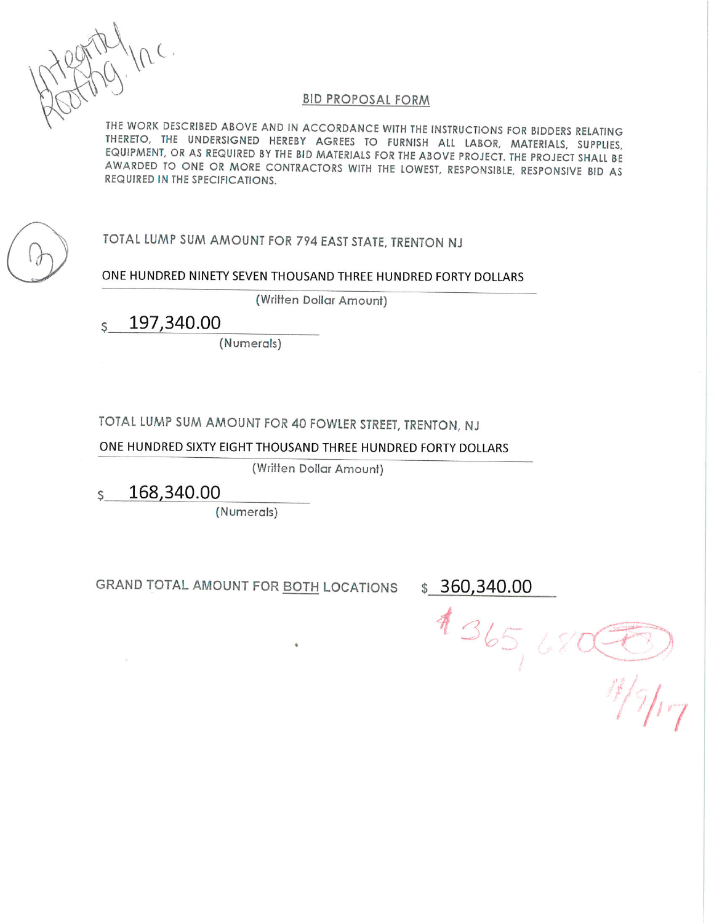### **BID PROPOSAL FORM**

THE WORK DESCRIBED ABOVE AND IN ACCORDANCE WITH THE INSTRUCTIONS FOR BIDDERS RELATING THERETO, THE UNDERSIGNED HEREBY AGREES TO FURNISH ALL LABOR, MATERIALS, SUPPLIES, EQUIPMENT, OR AS REQUIRED BY THE BID MATERIALS FOR THE ABOVE PROJECT. THE PROJECT SHALL BE AWARDED TO ONE OR MORE CONTRACTORS WITH THE LOWEST, RESPONSIBLE, RESPONSIVE BID AS REQUIRED IN THE SPECIFICATIONS.

TOTAL LUMP SUM AMOUNT FOR 794 EAST STATE, TRENTON NJ

ONE HUNDRED NINETY SEVEN THOUSAND THREE HUNDRED FORTY DOLLARS

(Written Dollar Amount)

197,340.00 S.

(Numerals)

TOTAL LUMP SUM AMOUNT FOR 40 FOWLER STREET, TRENTON, NJ

ONE HUNDRED SIXTY EIGHT THOUSAND THREE HUNDRED FORTY DOLLARS

(Written Dollar Amount)

168,340.00  $\mathsf{S}$ 

(Numerals)

GRAND TOTAL AMOUNT FOR BOTH LOCATIONS

 $$360,340.00$ 

 $436568$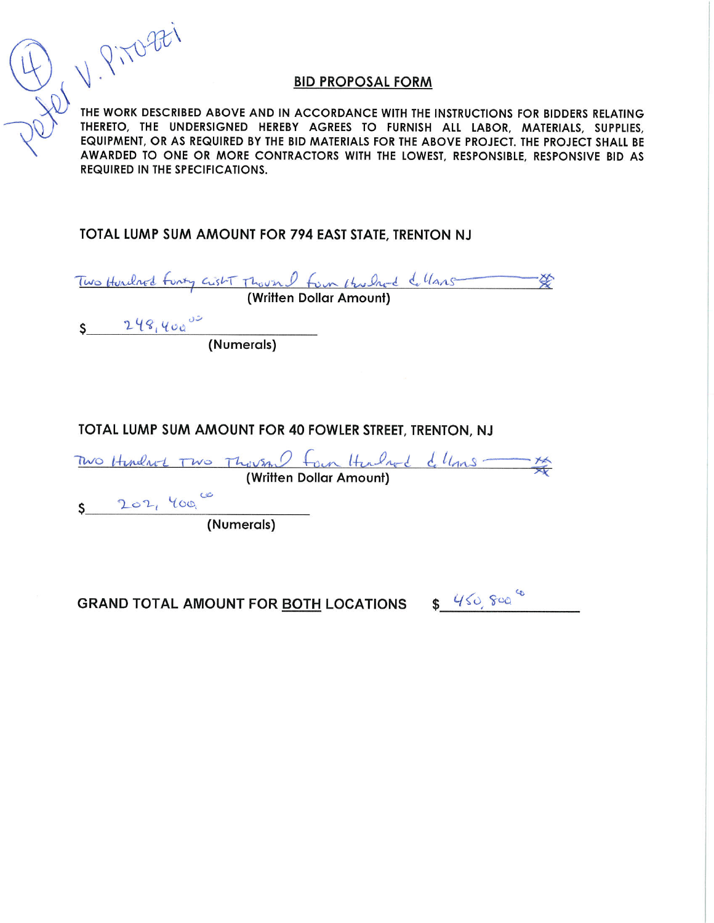## **BID PROPOSAL FORM**

Lol V. Pitozei THE WORK DESCRIBED ABOVE AND IN ACCORDANCE WITH THE INSTRUCTIONS FOR BIDDERS RELATING THERETO, THE UNDERSIGNED HEREBY AGREES TO FURNISH ALL LABOR, MATERIALS, SUPPLIES, EQUIPMENT, OR AS REQUIRED BY THE BID MATERIALS FOR THE ABOVE PROJECT. THE PROJECT SHALL BE AWARDED TO ONE OR MORE CONTRACTORS WITH THE LOWEST. RESPONSIBLE. RESPONSIVE BID AS **REQUIRED IN THE SPECIFICATIONS.** 

TOTAL LUMP SUM AMOUNT FOR 794 EAST STATE, TRENTON NJ

Two Hurched Funty custor Though from the Check of lans \*

# TOTAL LUMP SUM AMOUNT FOR 40 FOWLER STREET, TRENTON, NJ

|           |                         |  | Two Hindred Two Thousand four Headred dellans - |  |
|-----------|-------------------------|--|-------------------------------------------------|--|
|           | (Written Dollar Amount) |  |                                                 |  |
| 202, 400, |                         |  |                                                 |  |
|           | (Numerals)              |  |                                                 |  |

GRAND TOTAL AMOUNT FOR BOTH LOCATIONS \$460, See 6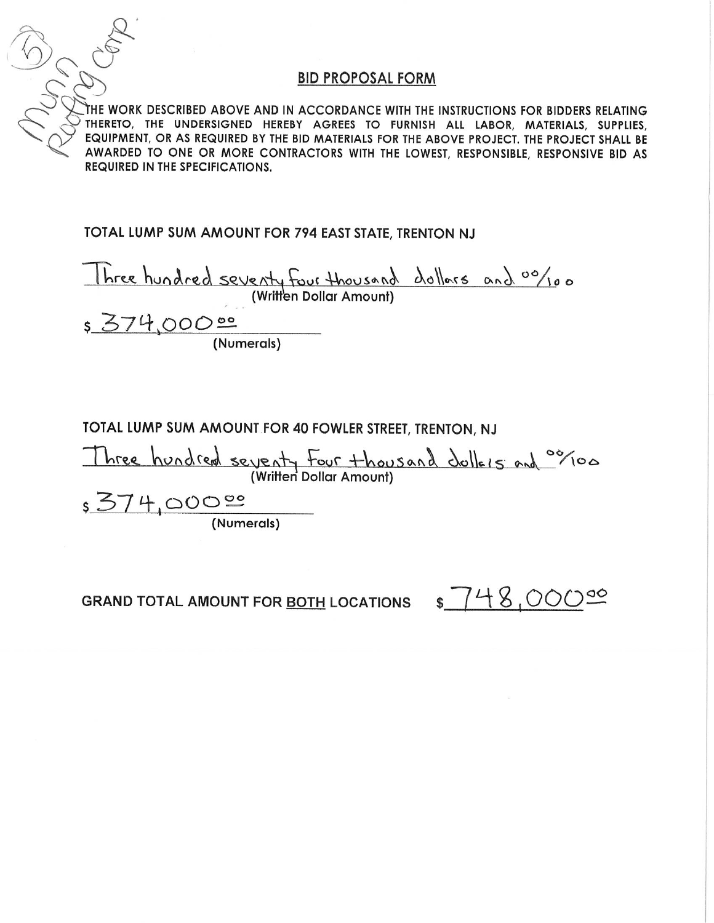## **BID PROPOSAL FORM**

THE WORK DESCRIBED ABOVE AND IN ACCORDANCE WITH THE INSTRUCTIONS FOR BIDDERS RELATING THERETO, THE UNDERSIGNED HEREBY AGREES TO FURNISH ALL LABOR, MATERIALS, SUPPLIES, EQUIPMENT, OR AS REQUIRED BY THE BID MATERIALS FOR THE ABOVE PROJECT. THE PROJECT SHALL BE AWARDED TO ONE OR MORE CONTRACTORS WITH THE LOWEST, RESPONSIBLE, RESPONSIVE BID AS **REQUIRED IN THE SPECIFICATIONS.** 

TOTAL LUMP SUM AMOUNT FOR 794 EAST STATE, TRENTON NJ

Three hundred seventy four thousand dollars and 00/100<br>(Written Dollar Amount)<br>5 374,000 00 (Numerals)

# TOTAL LUMP SUM AMOUNT FOR 40 FOWLER STREET, TRENTON, NJ

Three hundred seventy four thousand dollars and object

 $\frac{574,0000}{(Numerals)}$ 

 $$748.000$ **GRAND TOTAL AMOUNT FOR BOTH LOCATIONS**